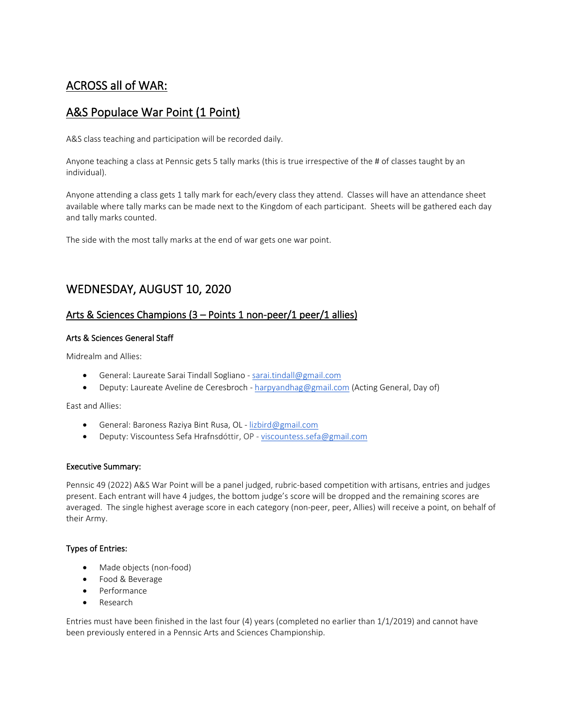# ACROSS all of WAR:

# A&S Populace War Point (1 Point)

A&S class teaching and participation will be recorded daily.

Anyone teaching a class at Pennsic gets 5 tally marks (this is true irrespective of the # of classes taught by an individual).

Anyone attending a class gets 1 tally mark for each/every class they attend. Classes will have an attendance sheet available where tally marks can be made next to the Kingdom of each participant. Sheets will be gathered each day and tally marks counted.

The side with the most tally marks at the end of war gets one war point.

# WEDNESDAY, AUGUST 10, 2020

# Arts & Sciences Champions (3 – Points 1 non-peer/1 peer/1 allies)

# Arts & Sciences General Staff

Midrealm and Allies:

- General: Laureate Sarai Tindall Sogliano  [sarai.tindall@gmail.com](mailto:sarai.tindall@gmail.com)
- Deputy: Laureate Aveline de Ceresbroch - [harpyandhag@gmail.com](mailto:harpyandhag@gmail.com) (Acting General, Day of)

East and Allies:

- General: Baroness Raziya Bint Rusa, OL lizbird@gmail.com
- Deputy: Viscountess Sefa Hrafnsdóttir, OP - [viscountess.sefa@gmail.com](mailto:viscountess.sefa@gmail.com)

# Executive Summary:

Pennsic 49 (2022) A&S War Point will be a panel judged, rubric-based competition with artisans, entries and judges present. Each entrant will have 4 judges, the bottom judge's score will be dropped and the remaining scores are averaged. The single highest average score in each category (non-peer, peer, Allies) will receive a point, on behalf of their Army.

# Types of Entries:

- Made objects (non-food)
- Food & Beverage
- Performance
- Research

Entries must have been finished in the last four (4) years (completed no earlier than 1/1/2019) and cannot have been previously entered in a Pennsic Arts and Sciences Championship.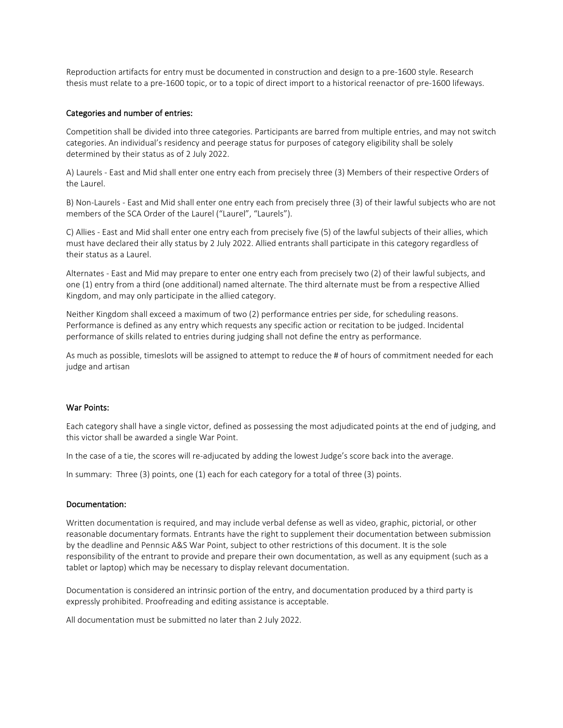Reproduction artifacts for entry must be documented in construction and design to a pre-1600 style. Research thesis must relate to a pre-1600 topic, or to a topic of direct import to a historical reenactor of pre-1600 lifeways.

### Categories and number of entries:

Competition shall be divided into three categories. Participants are barred from multiple entries, and may not switch categories. An individual's residency and peerage status for purposes of category eligibility shall be solely determined by their status as of 2 July 2022.

A) Laurels - East and Mid shall enter one entry each from precisely three (3) Members of their respective Orders of the Laurel.

B) Non-Laurels - East and Mid shall enter one entry each from precisely three (3) of their lawful subjects who are not members of the SCA Order of the Laurel ("Laurel", "Laurels").

C) Allies - East and Mid shall enter one entry each from precisely five (5) of the lawful subjects of their allies, which must have declared their ally status by 2 July 2022. Allied entrants shall participate in this category regardless of their status as a Laurel.

Alternates - East and Mid may prepare to enter one entry each from precisely two (2) of their lawful subjects, and one (1) entry from a third (one additional) named alternate. The third alternate must be from a respective Allied Kingdom, and may only participate in the allied category.

Neither Kingdom shall exceed a maximum of two (2) performance entries per side, for scheduling reasons. Performance is defined as any entry which requests any specific action or recitation to be judged. Incidental performance of skills related to entries during judging shall not define the entry as performance.

As much as possible, timeslots will be assigned to attempt to reduce the # of hours of commitment needed for each judge and artisan

#### War Points:

Each category shall have a single victor, defined as possessing the most adjudicated points at the end of judging, and this victor shall be awarded a single War Point.

In the case of a tie, the scores will re-adjucated by adding the lowest Judge's score back into the average.

In summary: Three (3) points, one (1) each for each category for a total of three (3) points.

#### Documentation:

Written documentation is required, and may include verbal defense as well as video, graphic, pictorial, or other reasonable documentary formats. Entrants have the right to supplement their documentation between submission by the deadline and Pennsic A&S War Point, subject to other restrictions of this document. It is the sole responsibility of the entrant to provide and prepare their own documentation, as well as any equipment (such as a tablet or laptop) which may be necessary to display relevant documentation.

Documentation is considered an intrinsic portion of the entry, and documentation produced by a third party is expressly prohibited. Proofreading and editing assistance is acceptable.

All documentation must be submitted no later than 2 July 2022.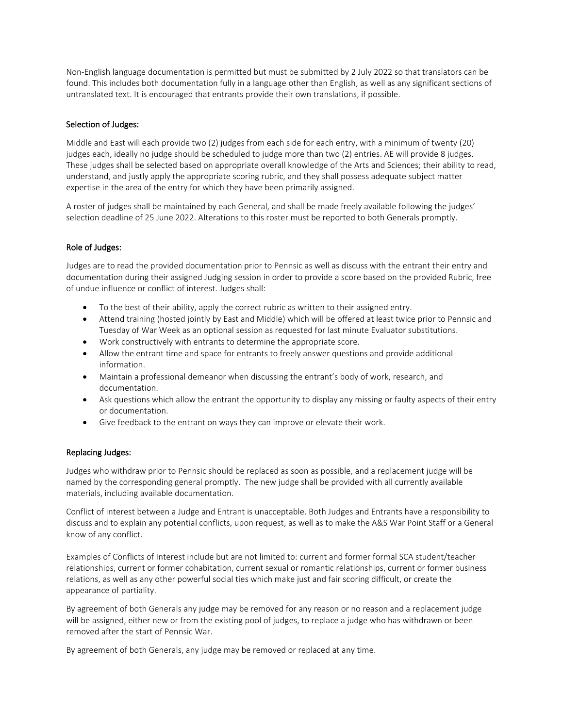Non-English language documentation is permitted but must be submitted by 2 July 2022 so that translators can be found. This includes both documentation fully in a language other than English, as well as any significant sections of untranslated text. It is encouraged that entrants provide their own translations, if possible.

# Selection of Judges:

Middle and East will each provide two (2) judges from each side for each entry, with a minimum of twenty (20) judges each, ideally no judge should be scheduled to judge more than two (2) entries. AE will provide 8 judges. These judges shall be selected based on appropriate overall knowledge of the Arts and Sciences; their ability to read, understand, and justly apply the appropriate scoring rubric, and they shall possess adequate subject matter expertise in the area of the entry for which they have been primarily assigned.

A roster of judges shall be maintained by each General, and shall be made freely available following the judges' selection deadline of 25 June 2022. Alterations to this roster must be reported to both Generals promptly.

# Role of Judges:

Judges are to read the provided documentation prior to Pennsic as well as discuss with the entrant their entry and documentation during their assigned Judging session in order to provide a score based on the provided Rubric, free of undue influence or conflict of interest. Judges shall:

- To the best of their ability, apply the correct rubric as written to their assigned entry.
- Attend training (hosted jointly by East and Middle) which will be offered at least twice prior to Pennsic and Tuesday of War Week as an optional session as requested for last minute Evaluator substitutions.
- Work constructively with entrants to determine the appropriate score.
- Allow the entrant time and space for entrants to freely answer questions and provide additional information.
- Maintain a professional demeanor when discussing the entrant's body of work, research, and documentation.
- Ask questions which allow the entrant the opportunity to display any missing or faulty aspects of their entry or documentation.
- Give feedback to the entrant on ways they can improve or elevate their work.

#### Replacing Judges:

Judges who withdraw prior to Pennsic should be replaced as soon as possible, and a replacement judge will be named by the corresponding general promptly. The new judge shall be provided with all currently available materials, including available documentation.

Conflict of Interest between a Judge and Entrant is unacceptable. Both Judges and Entrants have a responsibility to discuss and to explain any potential conflicts, upon request, as well as to make the A&S War Point Staff or a General know of any conflict.

Examples of Conflicts of Interest include but are not limited to: current and former formal SCA student/teacher relationships, current or former cohabitation, current sexual or romantic relationships, current or former business relations, as well as any other powerful social ties which make just and fair scoring difficult, or create the appearance of partiality.

By agreement of both Generals any judge may be removed for any reason or no reason and a replacement judge will be assigned, either new or from the existing pool of judges, to replace a judge who has withdrawn or been removed after the start of Pennsic War.

By agreement of both Generals, any judge may be removed or replaced at any time.